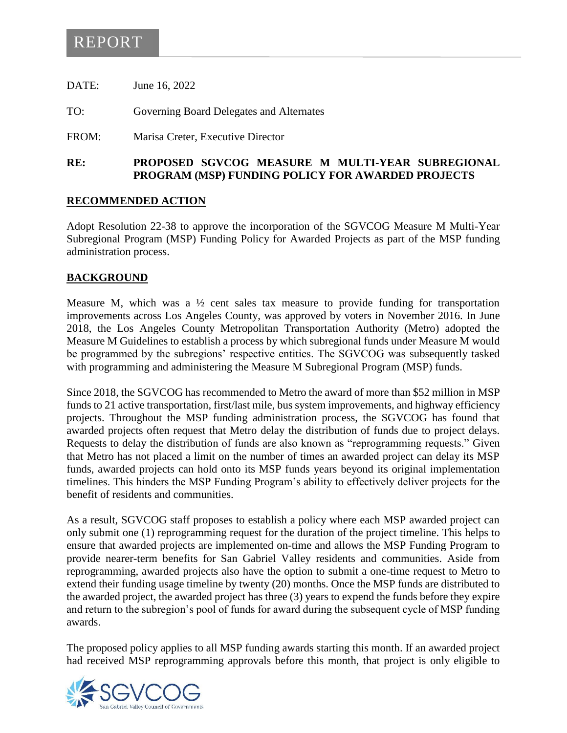## REPORT

DATE: June 16, 2022

TO: Governing Board Delegates and Alternates

FROM: Marisa Creter, Executive Director

#### **RE: PROPOSED SGVCOG MEASURE M MULTI-YEAR SUBREGIONAL PROGRAM (MSP) FUNDING POLICY FOR AWARDED PROJECTS**

#### **RECOMMENDED ACTION**

Adopt Resolution 22-38 to approve the incorporation of the SGVCOG Measure M Multi-Year Subregional Program (MSP) Funding Policy for Awarded Projects as part of the MSP funding administration process.

#### **BACKGROUND**

Measure M, which was a  $\frac{1}{2}$  cent sales tax measure to provide funding for transportation improvements across Los Angeles County, was approved by voters in November 2016. In June 2018, the Los Angeles County Metropolitan Transportation Authority (Metro) adopted the Measure M Guidelines to establish a process by which subregional funds under Measure M would be programmed by the subregions' respective entities. The SGVCOG was subsequently tasked with programming and administering the Measure M Subregional Program (MSP) funds.

Since 2018, the SGVCOG has recommended to Metro the award of more than \$52 million in MSP funds to 21 active transportation, first/last mile, bus system improvements, and highway efficiency projects. Throughout the MSP funding administration process, the SGVCOG has found that awarded projects often request that Metro delay the distribution of funds due to project delays. Requests to delay the distribution of funds are also known as "reprogramming requests." Given that Metro has not placed a limit on the number of times an awarded project can delay its MSP funds, awarded projects can hold onto its MSP funds years beyond its original implementation timelines. This hinders the MSP Funding Program's ability to effectively deliver projects for the benefit of residents and communities.

As a result, SGVCOG staff proposes to establish a policy where each MSP awarded project can only submit one (1) reprogramming request for the duration of the project timeline. This helps to ensure that awarded projects are implemented on-time and allows the MSP Funding Program to provide nearer-term benefits for San Gabriel Valley residents and communities. Aside from reprogramming, awarded projects also have the option to submit a one-time request to Metro to extend their funding usage timeline by twenty (20) months. Once the MSP funds are distributed to the awarded project, the awarded project has three (3) years to expend the funds before they expire and return to the subregion's pool of funds for award during the subsequent cycle of MSP funding awards.

The proposed policy applies to all MSP funding awards starting this month. If an awarded project had received MSP reprogramming approvals before this month, that project is only eligible to